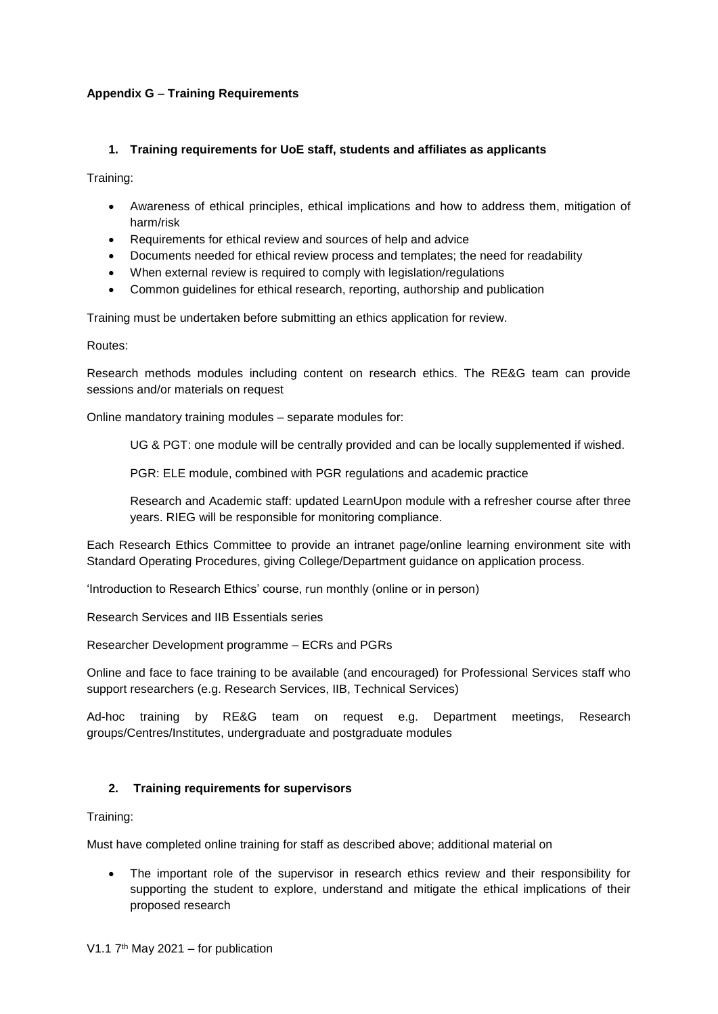# **Appendix G** – **Training Requirements**

## **1. Training requirements for UoE staff, students and affiliates as applicants**

Training:

- Awareness of ethical principles, ethical implications and how to address them, mitigation of harm/risk
- Requirements for ethical review and sources of help and advice
- Documents needed for ethical review process and templates; the need for readability
- When external review is required to comply with legislation/regulations
- Common guidelines for ethical research, reporting, authorship and publication

Training must be undertaken before submitting an ethics application for review.

Routes:

Research methods modules including content on research ethics. The RE&G team can provide sessions and/or materials on request

Online mandatory training modules – separate modules for:

UG & PGT: one module will be centrally provided and can be locally supplemented if wished.

PGR: ELE module, combined with PGR regulations and academic practice

Research and Academic staff: updated LearnUpon module with a refresher course after three years. RIEG will be responsible for monitoring compliance.

Each Research Ethics Committee to provide an intranet page/online learning environment site with Standard Operating Procedures, giving College/Department guidance on application process.

'Introduction to Research Ethics' course, run monthly (online or in person)

Research Services and IIB Essentials series

Researcher Development programme – ECRs and PGRs

Online and face to face training to be available (and encouraged) for Professional Services staff who support researchers (e.g. Research Services, IIB, Technical Services)

Ad-hoc training by RE&G team on request e.g. Department meetings, Research groups/Centres/Institutes, undergraduate and postgraduate modules

## **2. Training requirements for supervisors**

Training:

Must have completed online training for staff as described above; additional material on

 The important role of the supervisor in research ethics review and their responsibility for supporting the student to explore, understand and mitigate the ethical implications of their proposed research